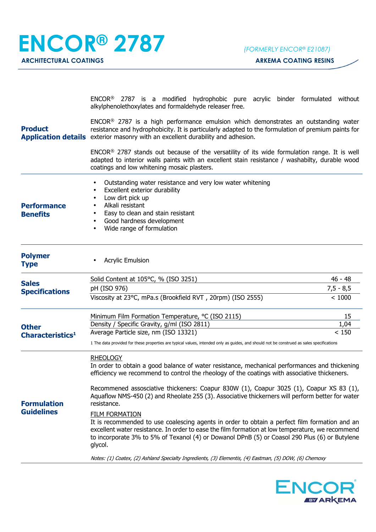| <b>Product</b>                                                                          | ENCOR <sup>®</sup> 2787 is a modified hydrophobic pure acrylic binder formulated without<br>alkylphenolethoxylates and formaldehyde releaser free.                                                                                                                                                                                                                                                                             |             |  |
|-----------------------------------------------------------------------------------------|--------------------------------------------------------------------------------------------------------------------------------------------------------------------------------------------------------------------------------------------------------------------------------------------------------------------------------------------------------------------------------------------------------------------------------|-------------|--|
|                                                                                         | ENCOR <sup>®</sup> 2787 is a high performance emulsion which demonstrates an outstanding water<br>resistance and hydrophobicity. It is particularly adapted to the formulation of premium paints for<br>Application details exterior masonry with an excellent durability and adhesion.                                                                                                                                        |             |  |
|                                                                                         | ENCOR <sup>®</sup> 2787 stands out because of the versatility of its wide formulation range. It is well<br>adapted to interior walls paints with an excellent stain resistance / washabilty, durable wood<br>coatings and low whitening mosaic plasters.                                                                                                                                                                       |             |  |
| <b>Performance</b><br><b>Benefits</b>                                                   | Outstanding water resistance and very low water whitening<br>Excellent exterior durability<br>Low dirt pick up<br>Alkali resistant<br>Easy to clean and stain resistant<br>Good hardness development<br>Wide range of formulation                                                                                                                                                                                              |             |  |
| <b>Polymer</b><br><b>Type</b>                                                           | <b>Acrylic Emulsion</b>                                                                                                                                                                                                                                                                                                                                                                                                        |             |  |
| <b>Sales</b><br><b>Specifications</b>                                                   | Solid Content at 105°C, % (ISO 3251)                                                                                                                                                                                                                                                                                                                                                                                           | $46 - 48$   |  |
|                                                                                         | pH (ISO 976)                                                                                                                                                                                                                                                                                                                                                                                                                   | $7,5 - 8,5$ |  |
|                                                                                         | Viscosity at 23°C, mPa.s (Brookfield RVT, 20rpm) (ISO 2555)                                                                                                                                                                                                                                                                                                                                                                    | < 1000      |  |
| <b>Other</b><br>Characteristics <sup>1</sup><br><b>Formulation</b><br><b>Guidelines</b> | Minimum Film Formation Temperature, °C (ISO 2115)                                                                                                                                                                                                                                                                                                                                                                              | 15          |  |
|                                                                                         | Density / Specific Gravity, g/ml (ISO 2811)                                                                                                                                                                                                                                                                                                                                                                                    | 1,04        |  |
|                                                                                         | Average Particle size, nm (ISO 13321)<br>1 The data provided for these properties are typical values, intended only as guides, and should not be construed as sales specifications                                                                                                                                                                                                                                             | < 150       |  |
|                                                                                         | <b>RHEOLOGY</b><br>In order to obtain a good balance of water resistance, mechanical performances and thickening<br>efficiency we recommend to control the rheology of the coatings with associative thickeners.<br>Recommened assosciative thickeners: Coapur 830W (1), Coapur 3025 (1), Coapur XS 83 (1),<br>Aquaflow NMS-450 (2) and Rheolate 255 (3). Associative thickerners will perform better for water<br>resistance. |             |  |
|                                                                                         | <b>FILM FORMATION</b><br>It is recommended to use coalescing agents in order to obtain a perfect film formation and an<br>excellent water resistance. In order to ease the film formation at low temperature, we recommend<br>to incorporate 3% to 5% of Texanol (4) or Dowanol DPnB (5) or Coasol 290 Plus (6) or Butylene<br>glycol.                                                                                         |             |  |
|                                                                                         | Notes: (1) Coatex, (2) Ashland Specialty Ingredients, (3) Elementis, (4) Eastman, (5) DOW, (6) Chemoxy                                                                                                                                                                                                                                                                                                                         |             |  |
|                                                                                         |                                                                                                                                                                                                                                                                                                                                                                                                                                |             |  |